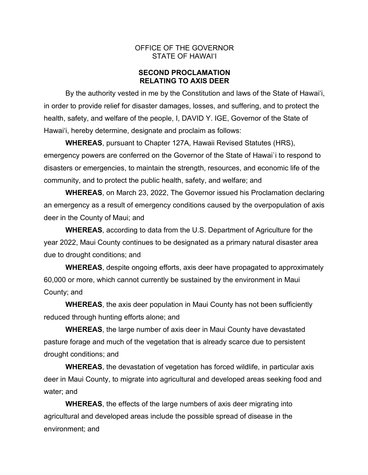### OFFICE OF THE GOVERNOR STATE OF HAWAI'I

# **SECOND PROCLAMATION RELATING TO AXIS DEER**

By the authority vested in me by the Constitution and laws of the State of Hawai'i, in order to provide relief for disaster damages, losses, and suffering, and to protect the health, safety, and welfare of the people, I, DAVID Y. IGE, Governor of the State of Hawai'i, hereby determine, designate and proclaim as follows:

**WHEREAS**, pursuant to Chapter 127A, Hawaii Revised Statutes (HRS), emergency powers are conferred on the Governor of the State of Hawai`i to respond to disasters or emergencies, to maintain the strength, resources, and economic life of the community, and to protect the public health, safety, and welfare; and

**WHEREAS**, on March 23, 2022, The Governor issued his Proclamation declaring an emergency as a result of emergency conditions caused by the overpopulation of axis deer in the County of Maui; and

**WHEREAS**, according to data from the U.S. Department of Agriculture for the year 2022, Maui County continues to be designated as a primary natural disaster area due to drought conditions; and

**WHEREAS**, despite ongoing efforts, axis deer have propagated to approximately 60,000 or more, which cannot currently be sustained by the environment in Maui County; and

**WHEREAS**, the axis deer population in Maui County has not been sufficiently reduced through hunting efforts alone; and

**WHEREAS**, the large number of axis deer in Maui County have devastated pasture forage and much of the vegetation that is already scarce due to persistent drought conditions; and

**WHEREAS**, the devastation of vegetation has forced wildlife, in particular axis deer in Maui County, to migrate into agricultural and developed areas seeking food and water; and

**WHEREAS**, the effects of the large numbers of axis deer migrating into agricultural and developed areas include the possible spread of disease in the environment; and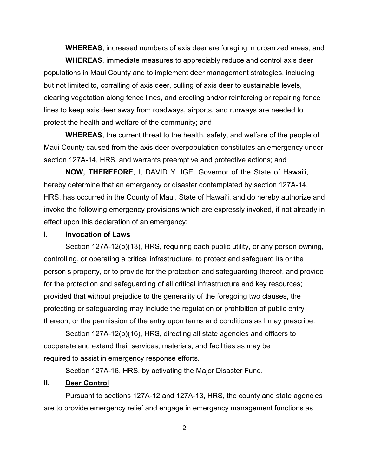**WHEREAS**, increased numbers of axis deer are foraging in urbanized areas; and

**WHEREAS**, immediate measures to appreciably reduce and control axis deer populations in Maui County and to implement deer management strategies, including but not limited to, corralling of axis deer, culling of axis deer to sustainable levels, clearing vegetation along fence lines, and erecting and/or reinforcing or repairing fence lines to keep axis deer away from roadways, airports, and runways are needed to protect the health and welfare of the community; and

**WHEREAS**, the current threat to the health, safety, and welfare of the people of Maui County caused from the axis deer overpopulation constitutes an emergency under section 127A-14, HRS, and warrants preemptive and protective actions; and

**NOW, THEREFORE**, I, DAVID Y. IGE, Governor of the State of Hawai'i, hereby determine that an emergency or disaster contemplated by section 127A-14, HRS, has occurred in the County of Maui, State of Hawai'i, and do hereby authorize and invoke the following emergency provisions which are expressly invoked, if not already in effect upon this declaration of an emergency:

#### **I. Invocation of Laws**

Section 127A-12(b)(13), HRS, requiring each public utility, or any person owning, controlling, or operating a critical infrastructure, to protect and safeguard its or the person's property, or to provide for the protection and safeguarding thereof, and provide for the protection and safeguarding of all critical infrastructure and key resources; provided that without prejudice to the generality of the foregoing two clauses, the protecting or safeguarding may include the regulation or prohibition of public entry thereon, or the permission of the entry upon terms and conditions as I may prescribe.

Section 127A-12(b)(16), HRS, directing all state agencies and officers to cooperate and extend their services, materials, and facilities as may be required to assist in emergency response efforts.

Section 127A-16, HRS, by activating the Major Disaster Fund.

# **II. Deer Control**

Pursuant to sections 127A-12 and 127A-13, HRS, the county and state agencies are to provide emergency relief and engage in emergency management functions as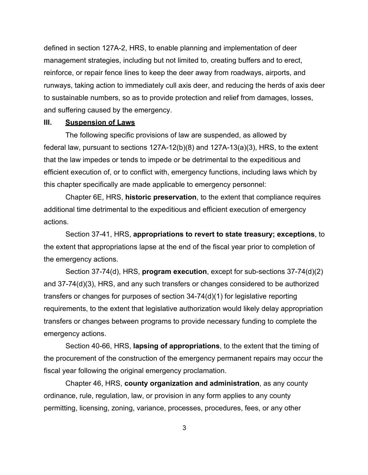defined in section 127A-2, HRS, to enable planning and implementation of deer management strategies, including but not limited to, creating buffers and to erect, reinforce, or repair fence lines to keep the deer away from roadways, airports, and runways, taking action to immediately cull axis deer, and reducing the herds of axis deer to sustainable numbers, so as to provide protection and relief from damages, losses, and suffering caused by the emergency.

#### **III. Suspension of Laws**

The following specific provisions of law are suspended, as allowed by federal law, pursuant to sections 127A-12(b)(8) and 127A-13(a)(3), HRS, to the extent that the law impedes or tends to impede or be detrimental to the expeditious and efficient execution of, or to conflict with, emergency functions, including laws which by this chapter specifically are made applicable to emergency personnel:

Chapter 6E, HRS, **historic preservation**, to the extent that compliance requires additional time detrimental to the expeditious and efficient execution of emergency actions.

Section 37-41, HRS, **appropriations to revert to state treasury; exceptions**, to the extent that appropriations lapse at the end of the fiscal year prior to completion of the emergency actions.

Section 37-74(d), HRS, **program execution**, except for sub-sections 37-74(d)(2) and 37-74(d)(3), HRS, and any such transfers or changes considered to be authorized transfers or changes for purposes of section 34-74(d)(1) for legislative reporting requirements, to the extent that legislative authorization would likely delay appropriation transfers or changes between programs to provide necessary funding to complete the emergency actions.

Section 40-66, HRS, **lapsing of appropriations**, to the extent that the timing of the procurement of the construction of the emergency permanent repairs may occur the fiscal year following the original emergency proclamation.

Chapter 46, HRS, **county organization and administration**, as any county ordinance, rule, regulation, law, or provision in any form applies to any county permitting, licensing, zoning, variance, processes, procedures, fees, or any other

3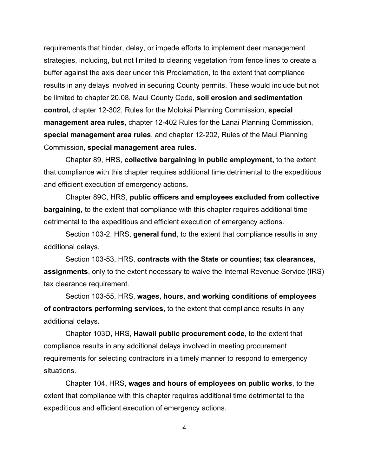requirements that hinder, delay, or impede efforts to implement deer management strategies, including, but not limited to clearing vegetation from fence lines to create a buffer against the axis deer under this Proclamation, to the extent that compliance results in any delays involved in securing County permits. These would include but not be limited to chapter 20.08, Maui County Code, **soil erosion and sedimentation control,** chapter 12-302, Rules for the Molokai Planning Commission, **special management area rules**, chapter 12-402 Rules for the Lanai Planning Commission, **special management area rules**, and chapter 12-202, Rules of the Maui Planning Commission, **special management area rules**.

Chapter 89, HRS, **collective bargaining in public employment,** to the extent that compliance with this chapter requires additional time detrimental to the expeditious and efficient execution of emergency actions**.**

Chapter 89C, HRS, **public officers and employees excluded from collective bargaining,** to the extent that compliance with this chapter requires additional time detrimental to the expeditious and efficient execution of emergency actions.

Section 103-2, HRS, **general fund**, to the extent that compliance results in any additional delays.

Section 103-53, HRS, **contracts with the State or counties; tax clearances, assignments**, only to the extent necessary to waive the Internal Revenue Service (IRS) tax clearance requirement.

Section 103-55, HRS, **wages, hours, and working conditions of employees of contractors performing services**, to the extent that compliance results in any additional delays.

Chapter 103D, HRS, **Hawaii public procurement code**, to the extent that compliance results in any additional delays involved in meeting procurement requirements for selecting contractors in a timely manner to respond to emergency situations.

Chapter 104, HRS, **wages and hours of employees on public works**, to the extent that compliance with this chapter requires additional time detrimental to the expeditious and efficient execution of emergency actions.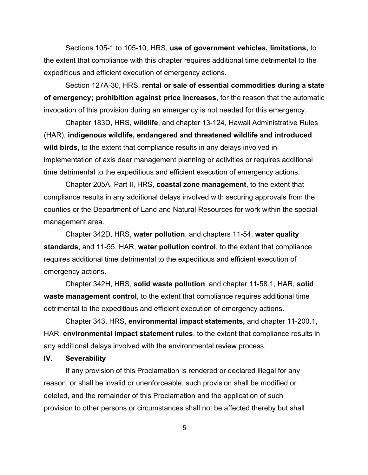Sections 105-1 to 105-10, HRS, **use of government vehicles, limitations,** to the extent that compliance with this chapter requires additional time detrimental to the expeditious and efficient execution of emergency actions**.**

Section 127A-30, HRS, **rental or sale of essential commodities during a state of emergency; prohibition against price increases**, for the reason that the automatic invocation of this provision during an emergency is not needed for this emergency.

Chapter 183D, HRS, **wildlife**, and chapter 13-124, Hawaii Administrative Rules (HAR), **indigenous wildlife, endangered and threatened wildlife and introduced wild birds,** to the extent that compliance results in any delays involved in implementation of axis deer management planning or activities or requires additional time detrimental to the expeditious and efficient execution of emergency actions.

Chapter 205A, Part II, HRS, **coastal zone management**, to the extent that compliance results in any additional delays involved with securing approvals from the counties or the Department of Land and Natural Resources for work within the special management area.

Chapter 342D, HRS, **water pollution**, and chapters 11-54, **water quality standards**, and 11-55, HAR, **water pollution control**, to the extent that compliance requires additional time detrimental to the expeditious and efficient execution of emergency actions.

Chapter 342H, HRS, **solid waste pollution**, and chapter 11-58.1, HAR, **solid waste management control**, to the extent that compliance requires additional time detrimental to the expeditious and efficient execution of emergency actions.

Chapter 343, HRS, **environmental impact statements,** and chapter 11-200.1, HAR, **environmental impact statement rules**, to the extent that compliance results in any additional delays involved with the environmental review process.

#### **IV. Severability**

If any provision of this Proclamation is rendered or declared illegal for any reason, or shall be invalid or unenforceable, such provision shall be modified or deleted, and the remainder of this Proclamation and the application of such provision to other persons or circumstances shall not be affected thereby but shall